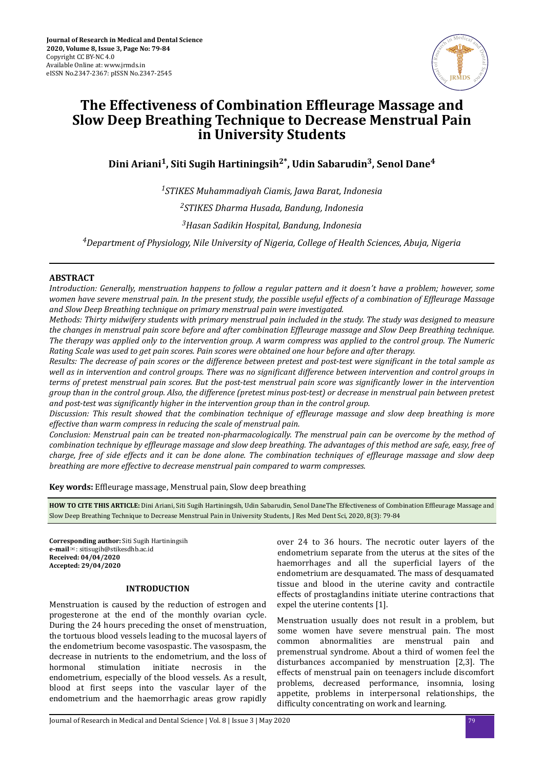

# **The Effectiveness of Combination Effleurage Massage and Slow Deep Breathing Technique to Decrease Menstrual Pain in University Students**

**Dini Ariani<sup>1</sup> , Siti Sugih Hartiningsih2\*, Udin Sabarudin<sup>3</sup> , Senol Dane<sup>4</sup>**

*<sup>1</sup>STIKES Muhammadiyah Ciamis, Jawa Barat, Indonesia <sup>2</sup>STIKES Dharma Husada, Bandung, Indonesia <sup>3</sup>Hasan Sadikin Hospital, Bandung, Indonesia*

*<sup>4</sup>Department of Physiology, Nile University of Nigeria, College of Health Sciences, Abuja, Nigeria*

# **ABSTRACT**

*Introduction: Generally, menstruation happens to follow a regular pattern and it doesn't have a problem; however, some women have severe menstrual pain. In the present study, the possible useful effects of a combination of Effleurage Massage and Slow Deep Breathing technique on primary menstrual pain were investigated.*

*Methods: Thirty midwifery students with primary menstrual pain included in the study. The study was designed to measure the changes in menstrual pain score before and after combination fϔeurge massage and Slow Deep Breathing technique. The therapy was applied only to the intervention group. A warm compress was applied to the control group. The Numeric Rating Scale was used to get pain scores. Pain scores were obtained one hour before and after therapy.*

*Results: The decrease of pain scores or the difference between pretest and post-test were significant in the total sample as well as in intervention and control groups. There was no significant difference between intervention and control groups in terms of pretest menstrual pain scores. But the post-test menstrual pain score was significantly lower in the intervention group than in the control group. Also, the difference (pretest minus post-test) or decrease in menstrual pain between pretest and post-test was significantly higher in the intervention group than in the control group.* 

*Discussion: This result showed that the combination technique of effleurage massage and slow deep breathing is more effective than warm compress in reducing the scale of menstrual pain.*

*Conclusion: Menstrual pain can be treated non-pharmacologically. The menstrual pain can be overcome by the method of combination technique by efϔeurge massage and slow deep breathing. The advantages of this method are safe, easy, free of charge, free of side effects and it can be done alone. The combination techniques of effleurage massage and slow deep breathing are more effective to decrease menstrual pain compared to warm compresses.*

**Key words:** Effleurage massage, Menstrual pain, Slow deep breathing

HOW TO CITE THIS ARTICLE: Dini Ariani, Siti Sugih Hartiningsih, Udin Sabarudin, Senol DaneThe Effectiveness of Combination Effleurage Massage and Slow Deep Breathing Technique to Decrease Menstrual Pain in University Students, J Res Med Dent Sci, 2020, 8(3): 79-84

**Corresponding author:** Siti Sugih Hartiningsih **e-mail**✉: sitisugih@stikesdhb.ac.id **Received: 04/04/2020 Accepted: 29/04/2020** 

#### **INTRODUCTION**

Menstruation is caused by the reduction of estrogen and progesterone at the end of the monthly ovarian cycle. During the 24 hours preceding the onset of menstruation, the tortuous blood vessels leading to the mucosal layers of the endometrium become vasospastic. The vasospasm, the decrease in nutrients to the endometrium, and the loss of hormonal stimulation initiate necrosis in the endometrium, especially of the blood vessels. As a result, blood at first seeps into the vascular layer of the endometrium and the haemorrhagic areas grow rapidly

over 24 to 36 hours. The necrotic outer layers of the endometrium separate from the uterus at the sites of the haemorrhages and all the superficial layers of the endometrium are desquamated. The mass of desquamated tissue and blood in the uterine cavity and contractile effects of prostaglandins initiate uterine contractions that expel the uterine contents [1].

Menstruation usually does not result in a problem, but some women have severe menstrual pain. The most common abnormalities are menstrual pain and premenstrual syndrome. About a third of women feel the disturbances accompanied by menstruation [2,3]. The effects of menstrual pain on teenagers include discomfort problems, decreased performance, insomnia, losing appetite, problems in interpersonal relationships, the difficulty concentrating on work and learning.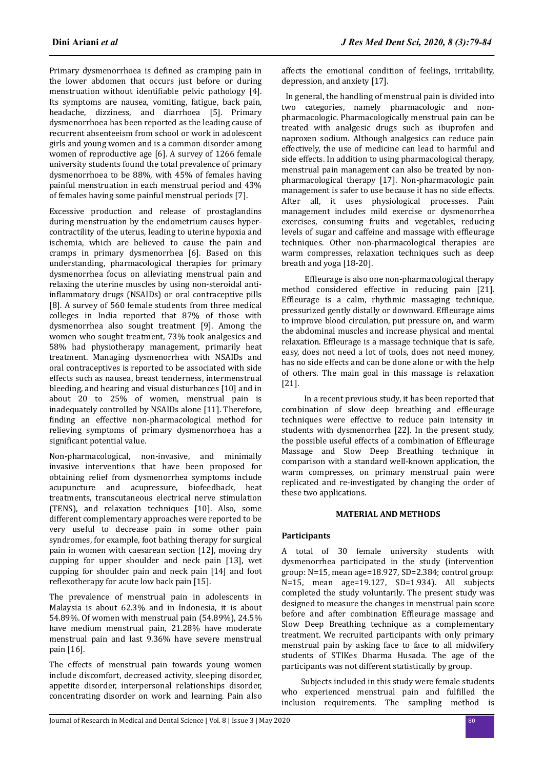Primary dysmenorrhoea is defined as cramping pain in the lower abdomen that occurs just before or during menstruation without identifiable pelvic pathology [4]. Its symptoms are nausea, vomiting, fatigue, back pain, headache, dizziness, and diarrhoea [5]. Primary dysmenorrhoea has been reported as the leading cause of recurrent absenteeism from school or work in adolescent girls and young women and is a common disorder among women of reproductive age [6]. A survey of 1266 female university students found the total prevalence of primary dysmenorrhoea to be 88%, with 45% of females having painful menstruation in each menstrual period and 43% of females having some painful menstrual periods [7].

Excessive production and release of prostaglandins during menstruation by the endometrium causes hypercontractility of the uterus, leading to uterine hypoxia and ischemia, which are believed to cause the pain and cramps in primary dysmenorrhea [6]. Based on this understanding, pharmacological therapies for primary dysmenorrhea focus on alleviating menstrual pain and relaxing the uterine muscles by using non-steroidal antiinflammatory drugs (NSAIDs) or oral contraceptive pills [8]. A survey of 560 female students from three medical colleges in India reported that 87% of those with dysmenorrhea also sought treatment [9]. Among the women who sought treatment, 73% took analgesics and 58% had physiotherapy management, primarily heat treatment. Managing dysmenorrhea with NSAIDs and oral contraceptives is reported to be associated with side effects such as nausea, breast tenderness, intermenstrual bleeding, and hearing and visual disturbances [10] and in about 20 to 25% of women, menstrual pain is inadequately controlled by NSAIDs alone [11]. Therefore, finding an effective non-pharmacological method for relieving symptoms of primary dysmenorrhoea has a significant potential value.

Non-pharmacological, non-invasive, and minimally invasive interventions that have been proposed for obtaining relief from dysmenorrhea symptoms include acupuncture and acupressure, biofeedback, heat treatments, transcutaneous electrical nerve stimulation (TENS), and relaxation techniques [10]. Also, some different complementary approaches were reported to be very useful to decrease pain in some other pain syndromes, for example, foot bathing therapy for surgical pain in women with caesarean section [12], moving dry cupping for upper shoulder and neck pain [13], wet cupping for shoulder pain and neck pain [14] and foot reflexotherapy for acute low back pain [15].

The prevalence of menstrual pain in adolescents in Malaysia is about 62.3% and in Indonesia, it is about 54.89%. Of women with menstrual pain (54.89%), 24.5% have medium menstrual pain, 21.28% have moderate menstrual pain and last 9.36% have severe menstrual pain [16].

The effects of menstrual pain towards young women include discomfort, decreased activity, sleeping disorder, appetite disorder, interpersonal relationships disorder, concentrating disorder on work and learning. Pain also

affects the emotional condition of feelings, irritability, depression, and anxiety [17].

In general, the handling of menstrual pain is divided into two categories, namely pharmacologic and nonpharmacologic. Pharmacologically menstrual pain can be treated with analgesic drugs such as ibuprofen and naproxen sodium. Although analgesics can reduce pain effectively, the use of medicine can lead to harmful and side effects. In addition to using pharmacological therapy, menstrual pain management can also be treated by nonpharmacological therapy [17]. Non-pharmacologic pain management is safer to use because it has no side effects. After all, it uses physiological processes. Pain management includes mild exercise or dysmenorrhea exercises, consuming fruits and vegetables, reducing levels of sugar and caffeine and massage with effleurage techniques. Other non-pharmacological therapies are warm compresses, relaxation techniques such as deep breath and yoga [18-20].

Effleurage is also one non-pharmacological therapy method considered effective in reducing pain [21]. Effleurage is a calm, rhythmic massaging technique, pressurized gently distally or downward. Effleurage aims to improve blood circulation, put pressure on, and warm the abdominal muscles and increase physical and mental relaxation. Effleurage is a massage technique that is safe, easy, does not need a lot of tools, does not need money, has no side effects and can be done alone or with the help of others. The main goal in this massage is relaxation [21].

In a recent previous study, it has been reported that combination of slow deep breathing and effleurage techniques were effective to reduce pain intensity in students with dysmenorrhea [22]. In the present study, the possible useful effects of a combination of Effleurage Massage and Slow Deep Breathing technique in comparison with a standard well-known application, the warm compresses, on primary menstrual pain were replicated and re-investigated by changing the order of these two applications.

# **MATERIAL AND METHODS**

# **Participants**

A total of 30 female university students with dysmenorrhea participated in the study (intervention group: N=15, mean age=18.927, SD=2.384; control group: N=15, mean age=19.127, SD=1.934). All subjects completed the study voluntarily. The present study was designed to measure the changes in menstrual pain score before and after combination Effleurage massage and Slow Deep Breathing technique as a complementary treatment. We recruited participants with only primary menstrual pain by asking face to face to all midwifery students of STIKes Dharma Husada. The age of the participants was not different statistically by group.

Subjects included in this study were female students who experienced menstrual pain and fulfilled the inclusion requirements. The sampling method is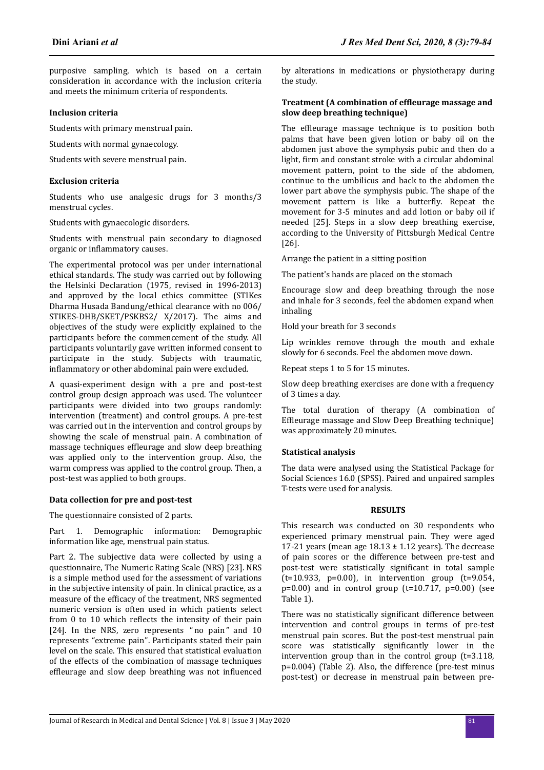purposive sampling, which is based on a certain consideration in accordance with the inclusion criteria and meets the minimum criteria of respondents.

#### **Inclusion criteria**

Students with primary menstrual pain.

Students with normal gynaecology.

Students with severe menstrual pain.

#### **Exclusion criteria**

Students who use analgesic drugs for 3 months/3 menstrual cycles.

Students with gynaecologic disorders.

Students with menstrual pain secondary to diagnosed organic or inflammatory causes.

The experimental protocol was per under international ethical standards. The study was carried out by following the Helsinki Declaration (1975, revised in 1996-2013) and approved by the local ethics committee (STIKes Dharma Husada Bandung/ethical clearance with no 006/ STIKES-DHB/SKET/PSKBS2/ X/2017). The aims and objectives of the study were explicitly explained to the participants before the commencement of the study. All participants voluntarily gave written informed consent to participate in the study. Subjects with traumatic, inflammatory or other abdominal pain were excluded.

A quasi-experiment design with a pre and post-test control group design approach was used. The volunteer participants were divided into two groups randomly: intervention (treatment) and control groups. A pre-test was carried out in the intervention and control groups by showing the scale of menstrual pain. A combination of massage techniques effleurage and slow deep breathing was applied only to the intervention group. Also, the warm compress was applied to the control group. Then, a post-test was applied to both groups.

#### **Data collection for pre and post-test**

The questionnaire consisted of 2 parts.

Part 1. Demographic information: Demographic information like age, menstrual pain status.

Part 2. The subjective data were collected by using a questionnaire, The Numeric Rating Scale (NRS) [23]. NRS is a simple method used for the assessment of variations in the subjective intensity of pain. In clinical practice, as a measure of the efficacy of the treatment, NRS segmented numeric version is often used in which patients select from 0 to 10 which reflects the intensity of their pain [24]. In the NRS, zero represents "no pain" and 10 represents "extreme pain". Participants stated their pain level on the scale. This ensured that statistical evaluation of the effects of the combination of massage techniques effleurage and slow deep breathing was not influenced

by alterations in medications or physiotherapy during the study.

#### **Treatment (A combination of effleurage massage and slow deep breathing technique)**

The effleurage massage technique is to position both palms that have been given lotion or baby oil on the abdomen just above the symphysis pubic and then do a light, firm and constant stroke with a circular abdominal movement pattern, point to the side of the abdomen, continue to the umbilicus and back to the abdomen the lower part above the symphysis pubic. The shape of the movement pattern is like a butterfly. Repeat the movement for 3-5 minutes and add lotion or baby oil if needed [25]. Steps in a slow deep breathing exercise, according to the University of Pittsburgh Medical Centre [26].

Arrange the patient in a sitting position

The patient's hands are placed on the stomach

Encourage slow and deep breathing through the nose and inhale for 3 seconds, feel the abdomen expand when inhaling

Hold your breath for 3 seconds

Lip wrinkles remove through the mouth and exhale slowly for 6 seconds. Feel the abdomen move down.

Repeat steps 1 to 5 for 15 minutes.

Slow deep breathing exercises are done with a frequency of 3 times a day.

The total duration of therapy (A combination of Effleurage massage and Slow Deep Breathing technique) was approximately 20 minutes.

#### **Statistical analysis**

The data were analysed using the Statistical Package for Social Sciences 16.0 (SPSS). Paired and unpaired samples T-tests were used for analysis.

#### **RESULTS**

This research was conducted on 30 respondents who experienced primary menstrual pain. They were aged 17-21 years (mean age  $18.13 \pm 1.12$  years). The decrease of pain scores or the difference between pre-test and post-test were statistically significant in total sample  $(t=10.933, p=0.00)$ , in intervention group  $(t=9.054,$  $p=0.00$  and in control group  $(t=10.717, p=0.00)$  (see Table 1).

There was no statistically significant difference between intervention and control groups in terms of pre-test menstrual pain scores. But the post-test menstrual pain score was statistically significantly lower in the intervention group than in the control group (t=3.118, p=0.004) (Table 2). Also, the difference (pre-test minus post-test) or decrease in menstrual pain between pre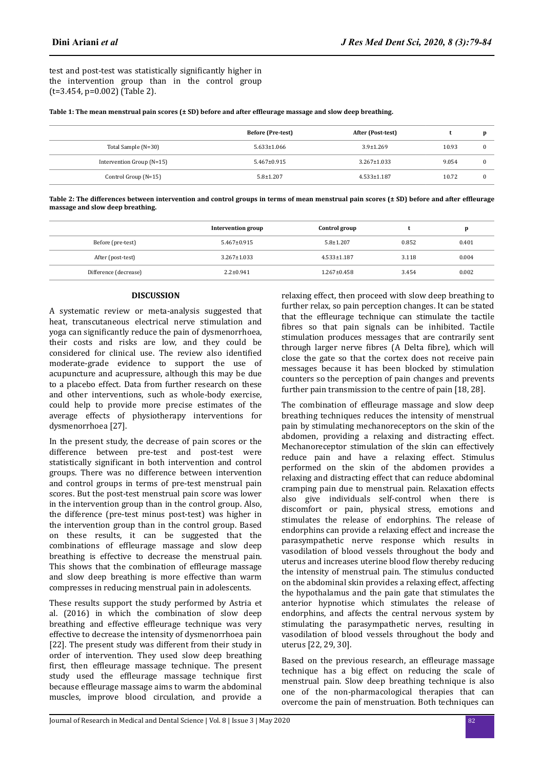test and post-test was statistically significantly higher in the intervention group than in the control group (t=3.454, p=0.002) (Table 2).

| Table 1: The mean menstrual pain scores (± SD) before and after effleurage massage and slow deep breathing. |  |  |
|-------------------------------------------------------------------------------------------------------------|--|--|
|                                                                                                             |  |  |

|                             | <b>Before (Pre-test)</b> | After (Post-test) |       |  |
|-----------------------------|--------------------------|-------------------|-------|--|
| Total Sample (N=30)         | $5.633 \pm 1.066$        | $3.9 \pm 1.269$   | 10.93 |  |
| Intervention Group $(N=15)$ | $5.467 \pm 0.915$        | $3.267 \pm 1.033$ | 9.054 |  |
| Control Group $(N=15)$      | $5.8 \pm 1.207$          | $4.533 \pm 1.187$ | 10.72 |  |

Table 2: The differences between intervention and control groups in terms of mean menstrual pain scores (± SD) before and after effleurage **massage and slow deep breathing.**

|                       | Intervention group | Control group     |       | D     |
|-----------------------|--------------------|-------------------|-------|-------|
| Before (pre-test)     | $5.467 \pm 0.915$  | $5.8 \pm 1.207$   | 0.852 | 0.401 |
| After (post-test)     | $3.267 \pm 1.033$  | $4.533 \pm 1.187$ | 3.118 | 0.004 |
| Difference (decrease) | $2.2 \pm 0.941$    | $1.267 \pm 0.458$ | 3.454 | 0.002 |

# **DISCUSSION**

A systematic review or meta-analysis suggested that heat, transcutaneous electrical nerve stimulation and yoga can significantly reduce the pain of dysmenorrhoea, their costs and risks are low, and they could be considered for clinical use. The review also identified moderate-grade evidence to support the use of acupuncture and acupressure, although this may be due to a placebo effect. Data from further research on these and other interventions, such as whole-body exercise, could help to provide more precise estimates of the average effects of physiotherapy interventions for dysmenorrhoea [27].

In the present study, the decrease of pain scores or the difference between pre-test and post-test were statistically significant in both intervention and control groups. There was no difference between intervention and control groups in terms of pre-test menstrual pain scores. But the post-test menstrual pain score was lower in the intervention group than in the control group. Also, the difference (pre-test minus post-test) was higher in the intervention group than in the control group. Based on these results, it can be suggested that the combinations of effleurage massage and slow deep breathing is effective to decrease the menstrual pain. This shows that the combination of effleurage massage and slow deep breathing is more effective than warm compresses in reducing menstrual pain in adolescents.

These results support the study performed by Astria et al. (2016) in which the combination of slow deep breathing and effective effleurage technique was very effective to decrease the intensity of dysmenorrhoea pain [22]. The present study was different from their study in order of intervention. They used slow deep breathing first, then effleurage massage technique. The present study used the effleurage massage technique first because effleurage massage aims to warm the abdominal muscles, improve blood circulation, and provide a

relaxing effect, then proceed with slow deep breathing to further relax, so pain perception changes. It can be stated that the effleurage technique can stimulate the tactile fibres so that pain signals can be inhibited. Tactile stimulation produces messages that are contrarily sent through larger nerve fibres (A Delta fibre), which will close the gate so that the cortex does not receive pain messages because it has been blocked by stimulation counters so the perception of pain changes and prevents further pain transmission to the centre of pain [18, 28].

The combination of effleurage massage and slow deep breathing techniques reduces the intensity of menstrual pain by stimulating mechanoreceptors on the skin of the abdomen, providing a relaxing and distracting effect. Mechanoreceptor stimulation of the skin can effectively reduce pain and have a relaxing effect. Stimulus performed on the skin of the abdomen provides a relaxing and distracting effect that can reduce abdominal cramping pain due to menstrual pain. Relaxation effects also give individuals self-control when there is discomfort or pain, physical stress, emotions and stimulates the release of endorphins. The release of endorphins can provide a relaxing effect and increase the parasympathetic nerve response which results in vasodilation of blood vessels throughout the body and uterus and increases uterine blood flow thereby reducing the intensity of menstrual pain. The stimulus conducted on the abdominal skin provides a relaxing effect, affecting the hypothalamus and the pain gate that stimulates the anterior hypnotise which stimulates the release of endorphins, and affects the central nervous system by stimulating the parasympathetic nerves, resulting in vasodilation of blood vessels throughout the body and uterus [22, 29, 30].

Based on the previous research, an effleurage massage technique has a big effect on reducing the scale of menstrual pain. Slow deep breathing technique is also one of the non-pharmacological therapies that can overcome the pain of menstruation. Both techniques can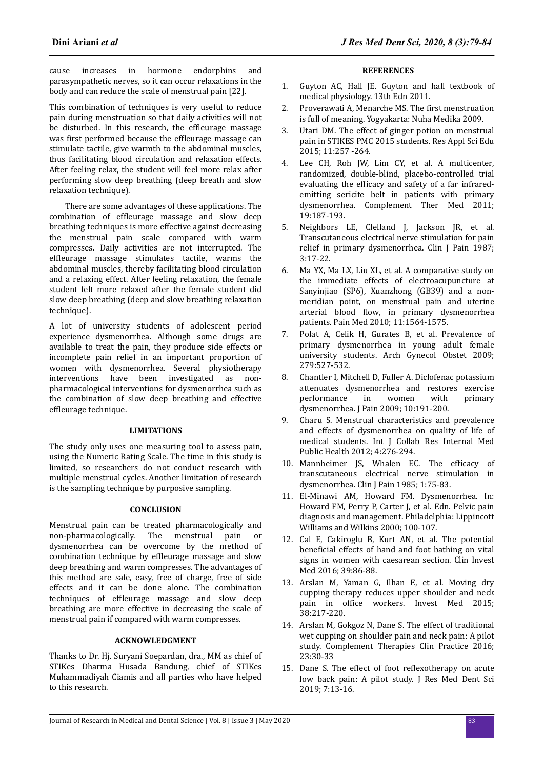cause increases in hormone endorphins and parasympathetic nerves, so it can occur relaxations in the body and can reduce the scale of menstrual pain [22].

This combination of techniques is very useful to reduce pain during menstruation so that daily activities will not be disturbed. In this research, the effleurage massage was first performed because the effleurage massage can stimulate tactile, give warmth to the abdominal muscles, thus facilitating blood circulation and relaxation effects. After feeling relax, the student will feel more relax after performing slow deep breathing (deep breath and slow relaxation technique).

There are some advantages of these applications. The combination of effleurage massage and slow deep breathing techniques is more effective against decreasing the menstrual pain scale compared with warm compresses. Daily activities are not interrupted. The effleurage massage stimulates tactile, warms the abdominal muscles, thereby facilitating blood circulation and a relaxing effect. After feeling relaxation, the female student felt more relaxed after the female student did slow deep breathing (deep and slow breathing relaxation technique).

A lot of university students of adolescent period experience dysmenorrhea. Although some drugs are available to treat the pain, they produce side effects or incomplete pain relief in an important proportion of women with dysmenorrhea. Several physiotherapy interventions have been investigated as nonpharmacological interventions for dysmenorrhea such as the combination of slow deep breathing and effective effleurage technique.

# **LIMITATIONS**

The study only uses one measuring tool to assess pain, using the Numeric Rating Scale. The time in this study is limited, so researchers do not conduct research with multiple menstrual cycles. Another limitation of research is the sampling technique by purposive sampling.

# **CONCLUSION**

Menstrual pain can be treated pharmacologically and non-pharmacologically. The menstrual pain or dysmenorrhea can be overcome by the method of combination technique by effleurage massage and slow deep breathing and warm compresses. The advantages of this method are safe, easy, free of charge, free of side effects and it can be done alone. The combination techniques of effleurage massage and slow deep breathing are more effective in decreasing the scale of menstrual pain if compared with warm compresses.

# **ACKNOWLEDGMENT**

Thanks to Dr. Hj. Suryani Soepardan, dra., MM as chief of STIKes Dharma Husada Bandung, chief of STIKes Muhammadiyah Ciamis and all parties who have helped to this research.

#### **REFERENCES**

- 1. Guyton AC, Hall JE. Guyton and hall textbook of medical physiology. 13th Edn 2011.
- 2. Proverawati A, Menarche MS, The first menstruation is full of meaning. Yogyakarta: Nuha Medika 2009.
- 3. Utari DM. The effect of ginger potion on menstrual pain in STIKES PMC 2015 students. Res Appl Sci Edu 2015; 11:257 -264.
- 4. Lee CH, Roh JW, Lim CY, et al. A multicenter, randomized, double-blind, placebo-controlled trial evaluating the efficacy and safety of a far infraredemitting sericite belt in patients with primary dysmenorrhea. Complement Ther Med 2011; 19:187-193.
- 5. Neighbors LE, Clelland J, Jackson JR, et al. Transcutaneous electrical nerve stimulation for pain relief in primary dysmenorrhea. Clin J Pain 1987; 3:17-22.
- 6. Ma YX, Ma LX, Liu XL, et al. A comparative study on the immediate effects of electroacupuncture at Sanyinjiao (SP6), Xuanzhong (GB39) and a nonmeridian point, on menstrual pain and uterine arterial blood flow, in primary dysmenorrhea patients. Pain Med 2010; 11:1564-1575.
- 7. Polat A, Celik H, Gurates B, et al. Prevalence of primary dysmenorrhea in young adult female university students. Arch Gynecol Obstet 2009; 279:527-532.
- 8. Chantler I, Mitchell D, Fuller A. Diclofenac potassium attenuates dysmenorrhea and restores exercise performance in women with primary dysmenorrhea. J Pain 2009; 10:191-200.
- 9. Charu S. Menstrual characteristics and prevalence and effects of dysmenorrhea on quality of life of medical students. Int J Collab Res Internal Med Public Health 2012; 4:276-294.
- 10. Mannheimer JS, Whalen EC. The efficacy of transcutaneous electrical nerve stimulation in dysmenorrhea. Clin J Pain 1985; 1:75-83.
- 11. El-Minawi AM, Howard FM. Dysmenorrhea. In: Howard FM, Perry P, Carter J, et al. Edn. Pelvic pain diagnosis and management. Philadelphia: Lippincott Williams and Wilkins 2000; 100-107.
- 12. Cal E, Cakiroglu B, Kurt AN, et al. The potential beneficial effects of hand and foot bathing on vital signs in women with caesarean section. Clin Invest Med 2016; 39:86-88.
- 13. Arslan M, Yaman G, Ilhan E, et al. Moving dry cupping therapy reduces upper shoulder and neck pain in office workers. Invest Med 2015; 38:217-220.
- 14. Arslan M, Gokgoz N, Dane S. The effect of traditional wet cupping on shoulder pain and neck pain: A pilot study. Complement Therapies Clin Practice 2016; 23:30-33
- 15. Dane S. The effect of foot reflexotherapy on acute low back pain: A pilot study. J Res Med Dent Sci 2019; 7:13-16.